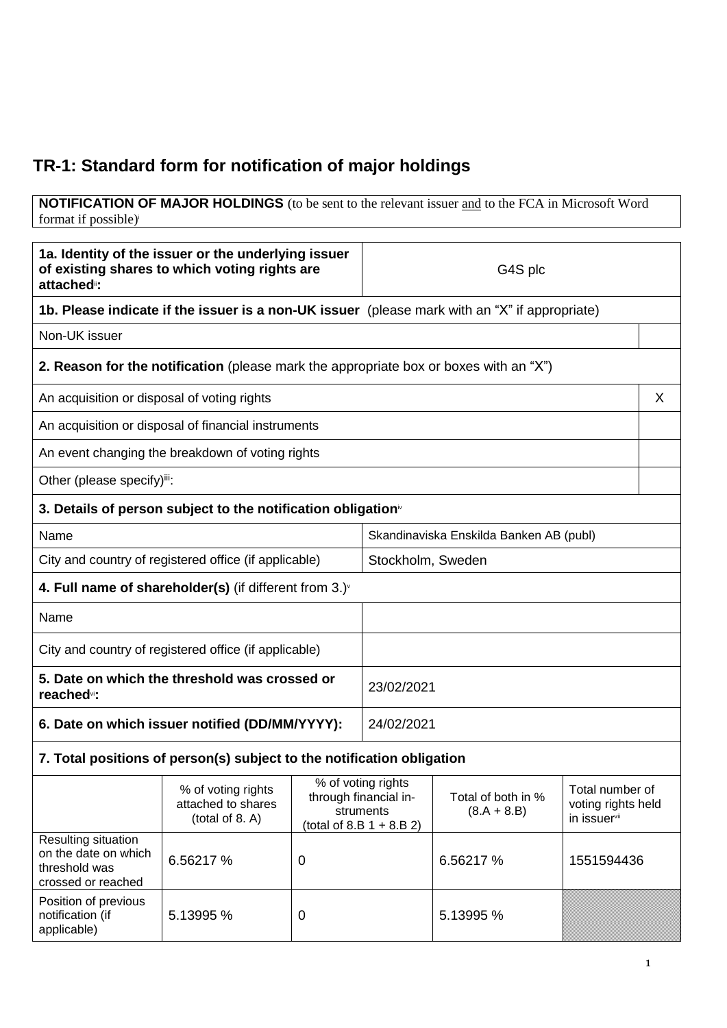## **TR-1: Standard form for notification of major holdings**

**NOTIFICATION OF MAJOR HOLDINGS** (to be sent to the relevant issuer and to the FCA in Microsoft Word format if possible) i

| 1a. Identity of the issuer or the underlying issuer<br>of existing shares to which voting rights are<br>attached <sup>®</sup> : |                                                                          |                                                                                         | G4S plc                                 |                                     |                                                       |   |
|---------------------------------------------------------------------------------------------------------------------------------|--------------------------------------------------------------------------|-----------------------------------------------------------------------------------------|-----------------------------------------|-------------------------------------|-------------------------------------------------------|---|
| 1b. Please indicate if the issuer is a non-UK issuer (please mark with an "X" if appropriate)                                   |                                                                          |                                                                                         |                                         |                                     |                                                       |   |
| Non-UK issuer                                                                                                                   |                                                                          |                                                                                         |                                         |                                     |                                                       |   |
| <b>2. Reason for the notification</b> (please mark the appropriate box or boxes with an "X")                                    |                                                                          |                                                                                         |                                         |                                     |                                                       |   |
| An acquisition or disposal of voting rights                                                                                     |                                                                          |                                                                                         |                                         |                                     |                                                       | X |
|                                                                                                                                 | An acquisition or disposal of financial instruments                      |                                                                                         |                                         |                                     |                                                       |   |
|                                                                                                                                 | An event changing the breakdown of voting rights                         |                                                                                         |                                         |                                     |                                                       |   |
| Other (please specify)iii:                                                                                                      |                                                                          |                                                                                         |                                         |                                     |                                                       |   |
|                                                                                                                                 | 3. Details of person subject to the notification obligation $\mathbf{v}$ |                                                                                         |                                         |                                     |                                                       |   |
| Name                                                                                                                            |                                                                          |                                                                                         | Skandinaviska Enskilda Banken AB (publ) |                                     |                                                       |   |
| City and country of registered office (if applicable)                                                                           |                                                                          | Stockholm, Sweden                                                                       |                                         |                                     |                                                       |   |
|                                                                                                                                 | 4. Full name of shareholder(s) (if different from $3.$ ) $\sqrt{ }$      |                                                                                         |                                         |                                     |                                                       |   |
| Name                                                                                                                            |                                                                          |                                                                                         |                                         |                                     |                                                       |   |
| City and country of registered office (if applicable)                                                                           |                                                                          |                                                                                         |                                         |                                     |                                                       |   |
| 5. Date on which the threshold was crossed or<br>reached <sup>vi</sup> :                                                        |                                                                          |                                                                                         | 23/02/2021                              |                                     |                                                       |   |
| 6. Date on which issuer notified (DD/MM/YYYY):                                                                                  |                                                                          |                                                                                         | 24/02/2021                              |                                     |                                                       |   |
| 7. Total positions of person(s) subject to the notification obligation                                                          |                                                                          |                                                                                         |                                         |                                     |                                                       |   |
|                                                                                                                                 | % of voting rights<br>attached to shares<br>(total of 8. A)              | % of voting rights<br>through financial in-<br>struments<br>(total of 8.B $1 + 8.B 2$ ) |                                         | Total of both in %<br>$(8.A + 8.B)$ | Total number of<br>voting rights held<br>in issuervii |   |
| Resulting situation<br>on the date on which<br>threshold was<br>crossed or reached                                              | 6.56217 %                                                                | 0                                                                                       |                                         | 6.56217 %                           | 1551594436                                            |   |
| Position of previous<br>notification (if<br>applicable)                                                                         | 5.13995 %                                                                | 0                                                                                       |                                         | 5.13995 %                           |                                                       |   |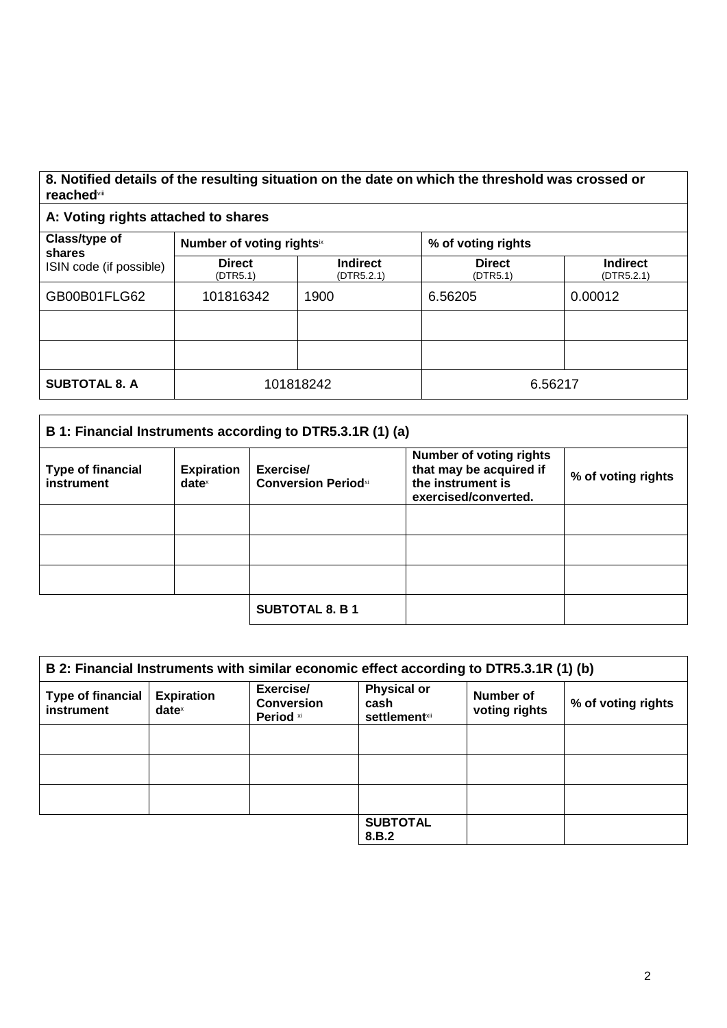## **8. Notified details of the resulting situation on the date on which the threshold was crossed or reached**viii

## **A: Voting rights attached to shares**

| Class/type of<br>shares<br>ISIN code (if possible) | Number of voting rightsix |                               | % of voting rights        |                               |
|----------------------------------------------------|---------------------------|-------------------------------|---------------------------|-------------------------------|
|                                                    | <b>Direct</b><br>(DTR5.1) | <b>Indirect</b><br>(DTR5.2.1) | <b>Direct</b><br>(DTR5.1) | <b>Indirect</b><br>(DTR5.2.1) |
| GB00B01FLG62                                       | 101816342                 | 1900                          | 6.56205                   | 0.00012                       |
|                                                    |                           |                               |                           |                               |
|                                                    |                           |                               |                           |                               |
| <b>SUBTOTAL 8. A</b>                               | 101818242                 |                               | 6.56217                   |                               |

| B 1: Financial Instruments according to DTR5.3.1R (1) (a) |                                        |                                          |                                                                                                        |                    |
|-----------------------------------------------------------|----------------------------------------|------------------------------------------|--------------------------------------------------------------------------------------------------------|--------------------|
| <b>Type of financial</b><br>instrument                    | <b>Expiration</b><br>date <sup>x</sup> | Exercise/<br><b>Conversion Period</b> xi | <b>Number of voting rights</b><br>that may be acquired if<br>the instrument is<br>exercised/converted. | % of voting rights |
|                                                           |                                        |                                          |                                                                                                        |                    |
|                                                           |                                        |                                          |                                                                                                        |                    |
|                                                           |                                        |                                          |                                                                                                        |                    |
|                                                           |                                        | <b>SUBTOTAL 8. B 1</b>                   |                                                                                                        |                    |

| B 2: Financial Instruments with similar economic effect according to DTR5.3.1R (1) (b) |                                      |                                             |                                                     |                                   |                    |
|----------------------------------------------------------------------------------------|--------------------------------------|---------------------------------------------|-----------------------------------------------------|-----------------------------------|--------------------|
| <b>Type of financial</b><br>instrument                                                 | <b>Expiration</b><br>$date^{\times}$ | Exercise/<br><b>Conversion</b><br>Period xi | <b>Physical or</b><br>cash<br><b>settlement</b> xii | <b>Number of</b><br>voting rights | % of voting rights |
|                                                                                        |                                      |                                             |                                                     |                                   |                    |
|                                                                                        |                                      |                                             |                                                     |                                   |                    |
|                                                                                        |                                      |                                             |                                                     |                                   |                    |
|                                                                                        |                                      |                                             | <b>SUBTOTAL</b><br>8.B.2                            |                                   |                    |